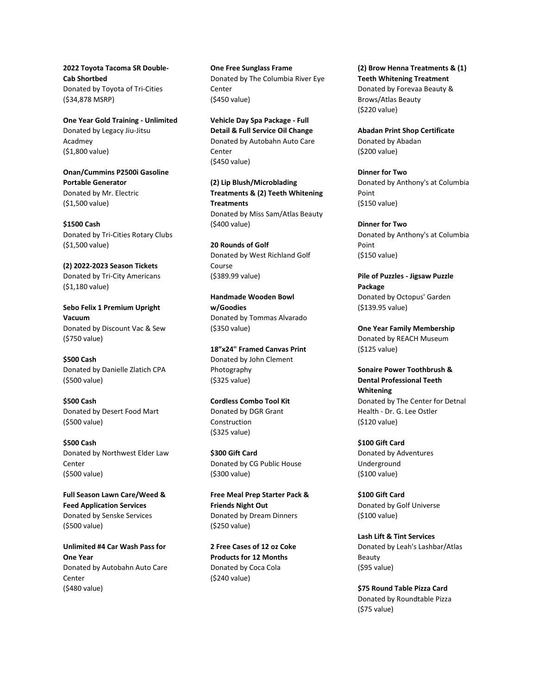**2022 Toyota Tacoma SR Double-Cab Shortbed** Donated by Toyota of Tri-Cities (\$34,878 MSRP)

**One Year Gold Training - Unlimited** Donated by Legacy Jiu-Jitsu Acadmey (\$1,800 value)

**Onan/Cummins P2500i Gasoline Portable Generator** Donated by Mr. Electric (\$1,500 value)

**\$1500 Cash** Donated by Tri-Cities Rotary Clubs (\$1,500 value)

**(2) 2022-2023 Season Tickets** Donated by Tri-City Americans (\$1,180 value)

**Sebo Felix 1 Premium Upright Vacuum** Donated by Discount Vac & Sew (\$750 value)

**\$500 Cash** Donated by Danielle Zlatich CPA (\$500 value)

**\$500 Cash** Donated by Desert Food Mart (\$500 value)

**\$500 Cash** Donated by Northwest Elder Law Center (\$500 value)

**Full Season Lawn Care/Weed & Feed Application Services** Donated by Senske Services (\$500 value)

**Unlimited #4 Car Wash Pass for One Year** Donated by Autobahn Auto Care Center (\$480 value)

**One Free Sunglass Frame** Donated by The Columbia River Eye Center (\$450 value)

**Vehicle Day Spa Package - Full Detail & Full Service Oil Change** Donated by Autobahn Auto Care Center (\$450 value)

**(2) Lip Blush/Microblading Treatments & (2) Teeth Whitening Treatments** Donated by Miss Sam/Atlas Beauty (\$400 value)

**20 Rounds of Golf** Donated by West Richland Golf Course (\$389.99 value)

**Handmade Wooden Bowl w/Goodies** Donated by Tommas Alvarado (\$350 value)

**18"x24" Framed Canvas Print** Donated by John Clement Photography (\$325 value)

**Cordless Combo Tool Kit** Donated by DGR Grant Construction (\$325 value)

**\$300 Gift Card** Donated by CG Public House (\$300 value)

**Free Meal Prep Starter Pack & Friends Night Out** Donated by Dream Dinners (\$250 value)

**2 Free Cases of 12 oz Coke Products for 12 Months** Donated by Coca Cola (\$240 value)

**(2) Brow Henna Treatments & (1) Teeth Whitening Treatment** Donated by Forevaa Beauty & Brows/Atlas Beauty (\$220 value)

**Abadan Print Shop Certificate** Donated by Abadan (\$200 value)

**Dinner for Two** Donated by Anthony's at Columbia Point (\$150 value)

**Dinner for Two** Donated by Anthony's at Columbia Point (\$150 value)

**Pile of Puzzles - Jigsaw Puzzle Package** Donated by Octopus' Garden (\$139.95 value)

**One Year Family Membership** Donated by REACH Museum (\$125 value)

**Sonaire Power Toothbrush & Dental Professional Teeth Whitening** Donated by The Center for Detnal Health - Dr. G. Lee Ostler (\$120 value)

**\$100 Gift Card** Donated by Adventures Underground (\$100 value)

**\$100 Gift Card** Donated by Golf Universe (\$100 value)

**Lash Lift & Tint Services** Donated by Leah's Lashbar/Atlas Beauty (\$95 value)

**\$75 Round Table Pizza Card** Donated by Roundtable Pizza (\$75 value)